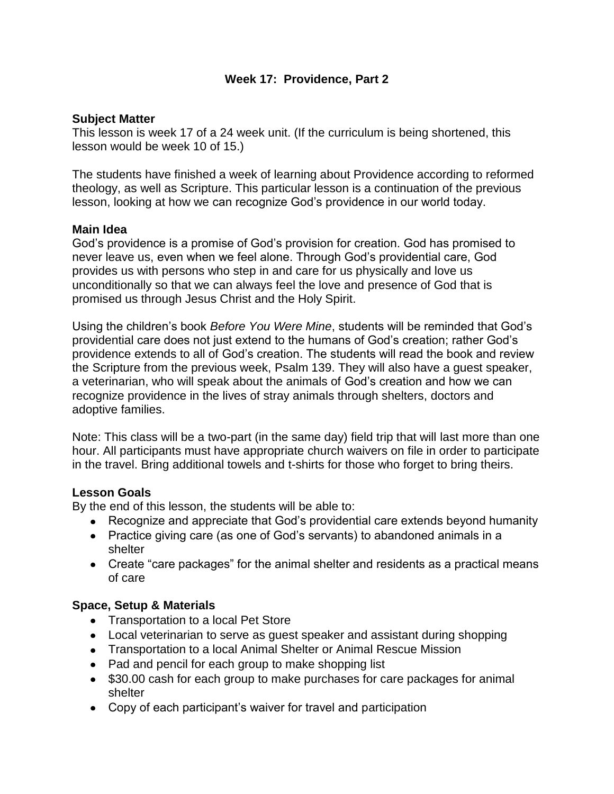### **Week 17: Providence, Part 2**

### **Subject Matter**

This lesson is week 17 of a 24 week unit. (If the curriculum is being shortened, this lesson would be week 10 of 15.)

The students have finished a week of learning about Providence according to reformed theology, as well as Scripture. This particular lesson is a continuation of the previous lesson, looking at how we can recognize God's providence in our world today.

### **Main Idea**

God's providence is a promise of God's provision for creation. God has promised to never leave us, even when we feel alone. Through God's providential care, God provides us with persons who step in and care for us physically and love us unconditionally so that we can always feel the love and presence of God that is promised us through Jesus Christ and the Holy Spirit.

Using the children's book *Before You Were Mine*, students will be reminded that God's providential care does not just extend to the humans of God's creation; rather God's providence extends to all of God's creation. The students will read the book and review the Scripture from the previous week, Psalm 139. They will also have a guest speaker, a veterinarian, who will speak about the animals of God's creation and how we can recognize providence in the lives of stray animals through shelters, doctors and adoptive families.

Note: This class will be a two-part (in the same day) field trip that will last more than one hour. All participants must have appropriate church waivers on file in order to participate in the travel. Bring additional towels and t-shirts for those who forget to bring theirs.

## **Lesson Goals**

By the end of this lesson, the students will be able to:

- Recognize and appreciate that God's providential care extends beyond humanity
- Practice giving care (as one of God's servants) to abandoned animals in a shelter
- Create "care packages" for the animal shelter and residents as a practical means of care

### **Space, Setup & Materials**

- Transportation to a local Pet Store
- Local veterinarian to serve as guest speaker and assistant during shopping
- Transportation to a local Animal Shelter or Animal Rescue Mission
- Pad and pencil for each group to make shopping list
- \$30.00 cash for each group to make purchases for care packages for animal shelter
- Copy of each participant's waiver for travel and participation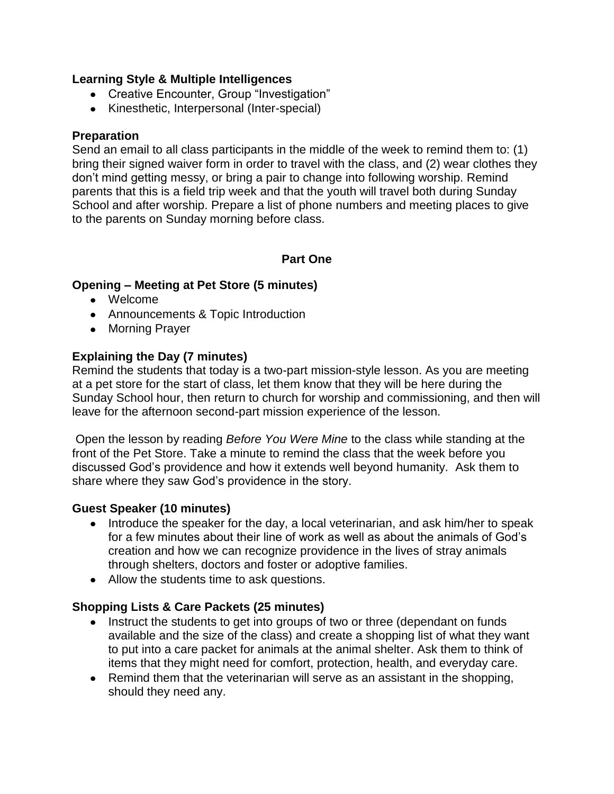### **Learning Style & Multiple Intelligences**

- Creative Encounter, Group "Investigation"
- Kinesthetic, Interpersonal (Inter-special)

## **Preparation**

Send an email to all class participants in the middle of the week to remind them to: (1) bring their signed waiver form in order to travel with the class, and (2) wear clothes they don't mind getting messy, or bring a pair to change into following worship. Remind parents that this is a field trip week and that the youth will travel both during Sunday School and after worship. Prepare a list of phone numbers and meeting places to give to the parents on Sunday morning before class.

## **Part One**

## **Opening – Meeting at Pet Store (5 minutes)**

- Welcome
- Announcements & Topic Introduction
- Morning Prayer

## **Explaining the Day (7 minutes)**

Remind the students that today is a two-part mission-style lesson. As you are meeting at a pet store for the start of class, let them know that they will be here during the Sunday School hour, then return to church for worship and commissioning, and then will leave for the afternoon second-part mission experience of the lesson.

Open the lesson by reading *Before You Were Mine* to the class while standing at the front of the Pet Store. Take a minute to remind the class that the week before you discussed God's providence and how it extends well beyond humanity. Ask them to share where they saw God's providence in the story.

## **Guest Speaker (10 minutes)**

- Introduce the speaker for the day, a local veterinarian, and ask him/her to speak for a few minutes about their line of work as well as about the animals of God's creation and how we can recognize providence in the lives of stray animals through shelters, doctors and foster or adoptive families.
- Allow the students time to ask questions.

# **Shopping Lists & Care Packets (25 minutes)**

- Instruct the students to get into groups of two or three (dependant on funds available and the size of the class) and create a shopping list of what they want to put into a care packet for animals at the animal shelter. Ask them to think of items that they might need for comfort, protection, health, and everyday care.
- Remind them that the veterinarian will serve as an assistant in the shopping, should they need any.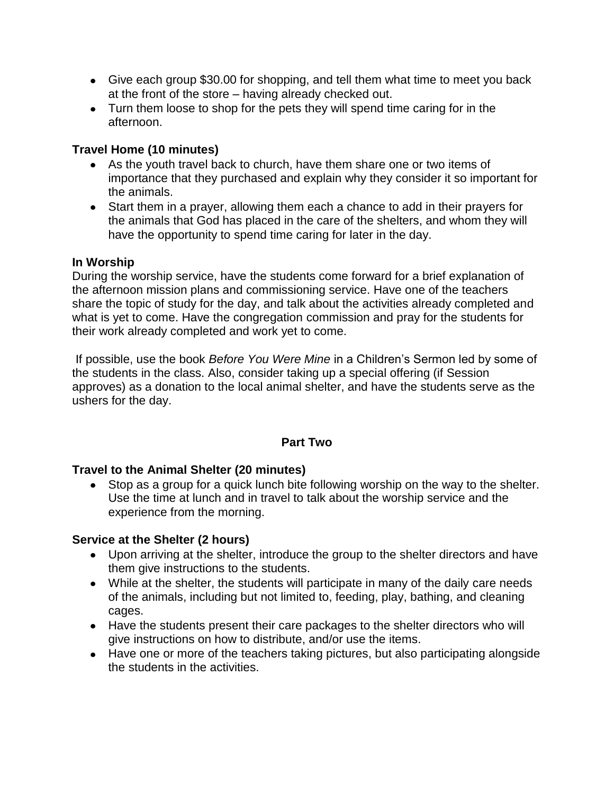- Give each group \$30.00 for shopping, and tell them what time to meet you back at the front of the store – having already checked out.
- Turn them loose to shop for the pets they will spend time caring for in the afternoon.

### **Travel Home (10 minutes)**

- As the youth travel back to church, have them share one or two items of importance that they purchased and explain why they consider it so important for the animals.
- Start them in a prayer, allowing them each a chance to add in their prayers for the animals that God has placed in the care of the shelters, and whom they will have the opportunity to spend time caring for later in the day.

### **In Worship**

During the worship service, have the students come forward for a brief explanation of the afternoon mission plans and commissioning service. Have one of the teachers share the topic of study for the day, and talk about the activities already completed and what is yet to come. Have the congregation commission and pray for the students for their work already completed and work yet to come.

If possible, use the book *Before You Were Mine* in a Children's Sermon led by some of the students in the class. Also, consider taking up a special offering (if Session approves) as a donation to the local animal shelter, and have the students serve as the ushers for the day.

## **Part Two**

## **Travel to the Animal Shelter (20 minutes)**

Stop as a group for a quick lunch bite following worship on the way to the shelter. Use the time at lunch and in travel to talk about the worship service and the experience from the morning.

## **Service at the Shelter (2 hours)**

- Upon arriving at the shelter, introduce the group to the shelter directors and have them give instructions to the students.
- While at the shelter, the students will participate in many of the daily care needs of the animals, including but not limited to, feeding, play, bathing, and cleaning cages.
- Have the students present their care packages to the shelter directors who will give instructions on how to distribute, and/or use the items.
- Have one or more of the teachers taking pictures, but also participating alongside the students in the activities.